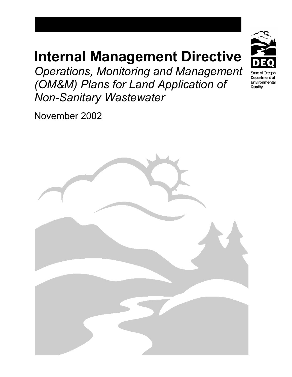# **Internal Management Directive**

*Operations, Monitoring and Management (OM&M) Plans for Land Application of Non-Sanitary Wastewater*

November 2002





**State of Oregor** Department of Environmental Quality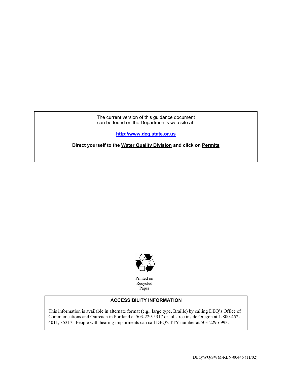The current version of this guidance document can be found on the Department's web site at:

**<http://www.deq.state.or.us>**

**Direct yourself to the Water Quality Division and click on Permits**



Printed on Recycled Paper

#### **ACCESSIBILITY INFORMATION**

This information is available in alternate format (e.g., large type, Braille) by calling DEQ's Office of Communications and Outreach in Portland at 503-229-5317 or toll-free inside Oregon at 1-800-452- 4011, x5317. People with hearing impairments can call DEQ's TTY number at 503-229-6993.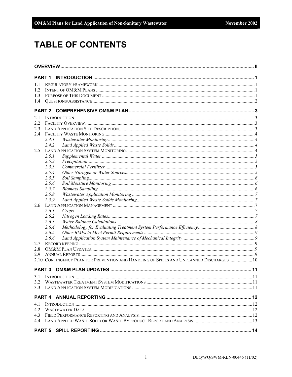# **TABLE OF CONTENTS**

| 1.1 |                                                                                          |     |
|-----|------------------------------------------------------------------------------------------|-----|
| 1.2 |                                                                                          |     |
| 13  |                                                                                          |     |
| 1.4 |                                                                                          |     |
|     |                                                                                          |     |
| 2.1 |                                                                                          |     |
| 2.2 |                                                                                          |     |
| 2.3 |                                                                                          |     |
| 2.4 |                                                                                          |     |
|     | 2.4.1                                                                                    |     |
|     | 2.4.2                                                                                    |     |
| 2.5 |                                                                                          |     |
|     | 2.5.1                                                                                    |     |
|     | 2.5.2                                                                                    |     |
|     | 2.5.3                                                                                    |     |
|     | 2.5.4                                                                                    |     |
|     | 2.5.5                                                                                    |     |
|     | 2.5.6                                                                                    |     |
|     | 2.5.7                                                                                    |     |
|     | 2.5.8                                                                                    |     |
|     | 2.5.9                                                                                    |     |
| 2.6 |                                                                                          |     |
|     | 2.6.1                                                                                    |     |
|     | 2.6.2                                                                                    |     |
|     | 2.6.3                                                                                    |     |
|     | 2.6.4                                                                                    |     |
|     | 2.6.5                                                                                    |     |
|     | 2.6.6                                                                                    |     |
| 2.7 |                                                                                          |     |
| 2.8 |                                                                                          |     |
| 2.9 |                                                                                          |     |
|     | 2.10 CONTINGENCY PLAN FOR PREVENTION AND HANDLING OF SPILLS AND UNPLANNED DISCHARGES  10 |     |
|     |                                                                                          |     |
|     |                                                                                          | .11 |
| 3.2 |                                                                                          |     |
| 3.3 |                                                                                          |     |
|     |                                                                                          |     |
| 4.1 |                                                                                          |     |
| 4.2 |                                                                                          |     |
| 4.3 |                                                                                          |     |
|     |                                                                                          |     |
|     |                                                                                          |     |
|     |                                                                                          |     |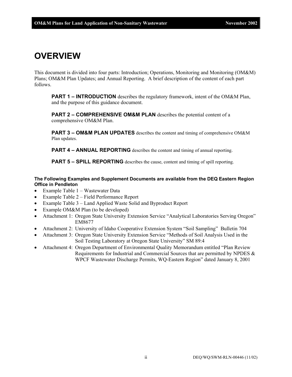# **OVERVIEW**

This document is divided into four parts: Introduction; Operations, Monitoring and Monitoring (OM&M) Plans; OM&M Plan Updates; and Annual Reporting. A brief description of the content of each part follows.

**PART 1 – INTRODUCTION** describes the regulatory framework, intent of the OM&M Plan, and the purpose of this guidance document.

**PART 2 – COMPREHENSIVE OM&M PLAN** describes the potential content of a comprehensive OM&M Plan.

**PART 3 – OM&M PLAN UPDATES** describes the content and timing of comprehensive OM&M Plan updates.

**PART 4 – ANNUAL REPORTING** describes the content and timing of annual reporting.

**PART 5 – SPILL REPORTING** describes the cause, content and timing of spill reporting.

#### **The Following Examples and Supplement Documents are available from the DEQ Eastern Region Office in Pendleton**

- Example Table 1 Wastewater Data
- Example Table 2 Field Performance Report
- Example Table 3 Land Applied Waste Solid and Byproduct Report
- Example OM&M Plan (to be developed)
- Attachment 1: Oregon State University Extension Service "Analytical Laboratories Serving Oregon" EM8677
- Attachment 2: University of Idaho Cooperative Extension System "Soil Sampling" Bulletin 704
- Attachment 3: Oregon State University Extension Service "Methods of Soil Analysis Used in the Soil Testing Laboratory at Oregon State University" SM 89:4
- Attachment 4: Oregon Department of Environmental Quality Memorandum entitled "Plan Review Requirements for Industrial and Commercial Sources that are permitted by NPDES & WPCF Wastewater Discharge Permits, WQ-Eastern Region" dated January 8, 2001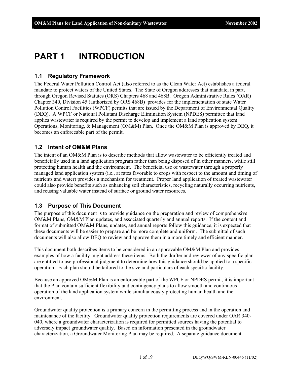# **PART 1 INTRODUCTION**

# **1.1 Regulatory Framework**

The Federal Water Pollution Control Act (also referred to as the Clean Water Act) establishes a federal mandate to protect waters of the United States. The State of Oregon addresses that mandate, in part, through Oregon Revised Statutes (ORS) Chapters 468 and 468B. Oregon Administrative Rules (OAR) Chapter 340, Division 45 (authorized by ORS 468B) provides for the implementation of state Water Pollution Control Facilities (WPCF) permits that are issued by the Department of Environmental Quality (DEQ). A WPCF or National Pollutant Discharge Elimination System (NPDES) permittee that land applies wastewater is required by the permit to develop and implement a land application system Operations, Monitoring, & Management (OM&M) Plan. Once the OM&M Plan is approved by DEQ, it becomes an enforceable part of the permit.

# **1.2 Intent of OM&M Plans**

The intent of an OM&M Plan is to describe methods that allow wastewater to be efficiently treated and beneficially used in a land application program rather than being disposed of in other manners, while still protecting human health and the environment. The beneficial use of wastewater through a properly managed land application system (i.e., at rates favorable to crops with respect to the amount and timing of nutrients and water) provides a mechanism for treatment. Proper land application of treated wastewater could also provide benefits such as enhancing soil characteristics, recycling naturally occurring nutrients, and reusing valuable water instead of surface or ground water resources.

# **1.3 Purpose of This Document**

The purpose of this document is to provide guidance on the preparation and review of comprehensive OM&M Plans, OM&M Plan updates, and associated quarterly and annual reports. If the content and format of submitted OM&M Plans, updates, and annual reports follow this guidance, it is expected that these documents will be easier to prepare and be more complete and uniform. The submittal of such documents will also allow DEQ to review and approve them in a more timely and efficient manner.

This document both describes items to be considered in an approvable OM&M Plan and provides examples of how a facility might address these items. Both the drafter and reviewer of any specific plan are entitled to use professional judgment to determine how this guidance should be applied to a specific operation. Each plan should be tailored to the size and particulars of each specific facility.

Because an approved OM&M Plan is an enforceable part of the WPCF or NPDES permit, it is important that the Plan contain sufficient flexibility and contingency plans to allow smooth and continuous operation of the land application system while simultaneously protecting human health and the environment.

Groundwater quality protection is a primary concern in the permitting process and in the operation and maintenance of the facility. Groundwater quality protection requirements are covered under OAR 340- 040, where a groundwater characterization is required for permitted sources having the potential to adversely impact groundwater quality. Based on information presented in the groundwater characterization, a Groundwater Monitoring Plan may be required. A separate guidance document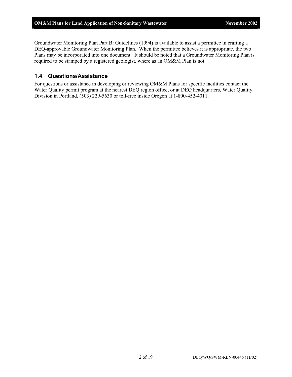Groundwater Monitoring Plan Part B: Guidelines (1994) is available to assist a permittee in crafting a DEQ-approvable Groundwater Monitoring Plan. When the permittee believes it is appropriate, the two Plans may be incorporated into one document. It should be noted that a Groundwater Monitoring Plan is required to be stamped by a registered geologist, where as an OM&M Plan is not.

# **1.4 Questions/Assistance**

For questions or assistance in developing or reviewing OM&M Plans for specific facilities contact the Water Quality permit program at the nearest DEQ region office, or at DEQ headquarters, Water Quality Division in Portland, (503) 229-5630 or toll-free inside Oregon at 1-800-452-4011.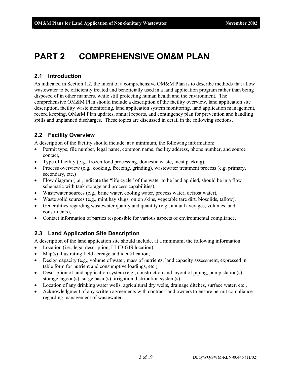# **PART 2 COMPREHENSIVE OM&M PLAN**

# **2.1 Introduction**

As indicated in Section 1.2, the intent of a comprehensive OM&M Plan is to describe methods that allow wastewater to be efficiently treated and beneficially used in a land application program rather than being disposed of in other manners, while still protecting human health and the environment. The comprehensive OM&M Plan should include a description of the facility overview, land application site description, facility waste monitoring, land application system monitoring, land application management, record keeping, OM&M Plan updates, annual reports, and contingency plan for prevention and handling spills and unplanned discharges. These topics are discussed in detail in the following sections.

# **2.2 Facility Overview**

A description of the facility should include, at a minimum, the following information:

- Permit type, file number, legal name, common name, facility address, phone number, and source contact,
- Type of facility (e.g., frozen food processing, domestic waste, meat packing),
- Process overview (e.g., cooking, freezing, grinding), wastewater treatment process (e.g. primary, secondary, etc.)
- Flow diagram (i.e., indicate the "life cycle" of the water to be land applied, should be in a flow schematic with tank storage and process capabilities),
- Wastewater sources (e.g., brine water, cooling water, process water, defrost water),
- Waste solid sources (e.g., mint hay slugs, onion skins, vegetable tare dirt, biosolids, tallow),
- Generalities regarding wastewater quality and quantity (e.g., annual averages, volumes, and constituents),
- Contact information of parties responsible for various aspects of environmental compliance.

# **2.3 Land Application Site Description**

A description of the land application site should include, at a minimum, the following information:

- Location (i.e., legal description, LLID-GIS location),
- Map(s) illustrating field acreage and identification,
- Design capacity (e.g., volume of water, mass of nutrients, land capacity assessment, expressed in table form for nutrient and consumptive loadings, etc.),
- Description of land application system (e.g., construction and layout of piping, pump station(s), storage lagoon(s), surge basin(s), irrigation distribution system(s),
- Location of any drinking water wells, agricultural dry wells, drainage ditches, surface water, etc.,
- Acknowledgment of any written agreements with contract land owners to ensure permit compliance regarding management of wastewater.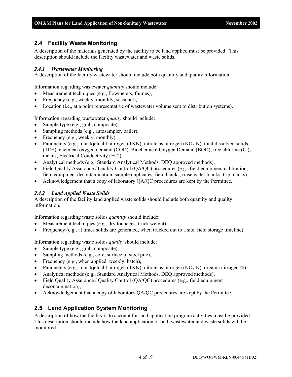# **2.4 Facility Waste Monitoring**

A description of the materials generated by the facility to be land applied must be provided. This description should include the facility wastewater and waste solids.

#### *2.4.1 Wastewater Monitoring*

A description of the facility wastewater should include both quantity and quality information.

Information regarding wastewater *quantity* should include:

- Measurement techniques (e.g., flowmeters, flumes),
- Frequency (e.g., weekly, monthly, seasonal),
- Location (i.e., at a point representative of wastewater volume sent to distribution systems).

Information regarding wastewater *quality* should include:

- Sample type (e.g., grab, composite),
- Sampling methods (e.g., autosampler, bailer),
- Frequency (e.g., weekly, monthly),
- Parameters (e.g., total kjeldahl nitrogen (TKN), nitrate as nitrogen (NO<sub>3</sub>-N), total dissolved solids (TDS), chemical oxygen demand (COD), Biochemical Oxygen Demand (BOD), free chlorine (Cl), metals, Electrical Conductivity (EC)),
- Analytical methods (e.g., Standard Analytical Methods, DEQ approved methods),
- Field Quality Assurance / Quality Control (QA/QC) procedures (e.g., field equipment calibration, field equipment decontamination, sample duplicates, field blanks, rinse water blanks, trip blanks),
- Acknowledgement that a copy of laboratory QA/QC procedures are kept by the Permittee.

#### *2.4.2 Land Applied Waste Solids*

A description of the facility land applied waste solids should include both quantity and quality information.

Information regarding waste solids *quantity* should include:

- Measurement techniques (e.g., dry tonnages, truck weight),
- Frequency (e.g., at times solids are generated, when trucked out to a site, field storage timeline).

Information regarding waste solids *quality* should include:

- Sample type (e.g., grab, composite),
- Sampling methods (e.g., core, surface of stockpile),
- Frequency (e.g., when applied, weekly, batch),
- Parameters (e.g., total kjeldahl nitrogen (TKN), nitrate as nitrogen  $(NO_3-N)$ , organic nitrogen %),
- Analytical methods (e.g., Standard Analytical Methods, DEQ approved methods),
- Field Quality Assurance / Quality Control (QA/QC) procedures (e.g., field equipment decontamination),
- Acknowledgement that a copy of laboratory QA/QC procedures are kept by the Permittee.

# **2.5 Land Application System Monitoring**

A description of how the facility is to account for land application program activities must be provided. This description should include how the land application of both wastewater and waste solids will be monitored.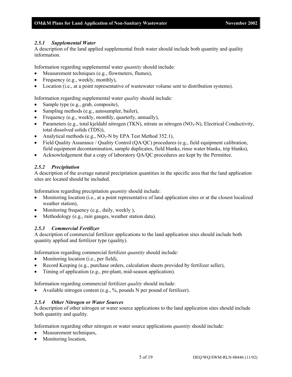#### *2.5.1 Supplemental Water*

A description of the land applied supplemental fresh water should include both quantity and quality information.

Information regarding supplemental water *quantity* should include:

- Measurement techniques (e.g., flowmeters, flumes),
- Frequency (e.g., weekly, monthly),
- Location (i.e., at a point representative of wastewater volume sent to distribution systems).

Information regarding supplemental water *quality* should include:

- Sample type (e.g., grab, composite),
- Sampling methods (e.g., autosampler, bailer),
- Frequency (e.g., weekly, monthly, quarterly, annually),
- Parameters (e.g., total kjeldahl nitrogen (TKN), nitrate as nitrogen (NO<sub>3</sub>-N), Electrical Conductivity, total dissolved solids (TDS)),
- Analytical methods (e.g.,  $NO<sub>3</sub>$ -N by EPA Test Method 352.1),
- Field Quality Assurance / Quality Control (QA/QC) procedures (e.g., field equipment calibration, field equipment decontamination, sample duplicates, field blanks, rinse water blanks, trip blanks),
- Acknowledgement that a copy of laboratory QA/QC procedures are kept by the Permittee.

#### *2.5.2 Precipitation*

A description of the average natural precipitation quantities in the specific area that the land application sites are located should be included.

Information regarding precipitation *quantity* should include:

- Monitoring location (i.e., at a point representative of land application sites or at the closest localized weather station),
- Monitoring frequency (e.g., daily, weekly),
- Methodology (e.g., rain gauges, weather station data).

#### *2.5.3 Commercial Fertilizer*

A description of commercial fertilizer applications to the land application sites should include both quantity applied and fertilizer type (quality).

Information regarding commercial fertilizer *quantity* should include:

- Monitoring location (i.e., per field),
- Record Keeping (e.g., purchase orders, calculation sheets provided by fertilizer seller),
- Timing of application (e.g., pre-plant, mid-season application).

Information regarding commercial fertilizer *quality* should include:

• Available nitrogen content (e.g., %, pounds N per pound of fertilizer).

#### *2.5.4 Other Nitrogen or Water Sources*

A description of other nitrogen or water source applications to the land application sites should include both quantity and quality.

Information regarding other nitrogen or water source applications *quantity* should include:

- Measurement techniques,
- Monitoring location,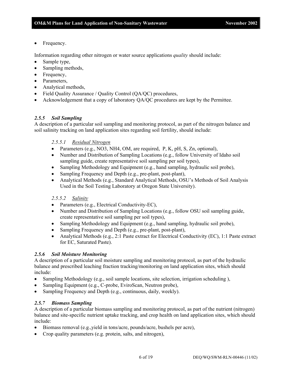• Frequency.

Information regarding other nitrogen or water source applications *quality* should include:

- Sample type,
- Sampling methods,
- Frequency,
- Parameters,
- Analytical methods,
- Field Quality Assurance / Quality Control (QA/QC) procedures,
- Acknowledgement that a copy of laboratory QA/QC procedures are kept by the Permittee.

#### *2.5.5 Soil Sampling*

A description of a particular soil sampling and monitoring protocol, as part of the nitrogen balance and soil salinity tracking on land application sites regarding soil fertility, should include:

#### *2.5.5.1 Residual Nitrogen*

- Parameters (e.g., NO3, NH4, OM, are required, P, K, pH, S, Zn, optional),
- Number and Distribution of Sampling Locations (e.g., follow University of Idaho soil sampling guide, create representative soil sampling per soil types),
- Sampling Methodology and Equipment (e.g., hand sampling, hydraulic soil probe),
- Sampling Frequency and Depth (e.g., pre-plant, post-plant),
- Analytical Methods (e.g., Standard Analytical Methods, OSU's Methods of Soil Analysis Used in the Soil Testing Laboratory at Oregon State University).

#### *2.5.5.2 Salinity*

- Parameters (e.g., Electrical Conductivity-EC),
- Number and Distribution of Sampling Locations (e.g., follow OSU soil sampling guide, create representative soil sampling per soil types),
- Sampling Methodology and Equipment (e.g., hand sampling, hydraulic soil probe),
- Sampling Frequency and Depth (e.g., pre-plant, post-plant),
- Analytical Methods (e.g., 2:1 Paste extract for Electrical Conductivity (EC), 1:1 Paste extract for EC, Saturated Paste).

#### *2.5.6 Soil Moisture Monitoring*

A description of a particular soil moisture sampling and monitoring protocol, as part of the hydraulic balance and prescribed leaching fraction tracking/monitoring on land application sites, which should include:

- Sampling Methodology (e.g., soil sample locations, site selection, irrigation scheduling ),
- Sampling Equipment (e.g., C-probe, EviroScan, Neutron probe),
- Sampling Frequency and Depth (e.g., continuous, daily, weekly).

#### *2.5.7 Biomass Sampling*

A description of a particular biomass sampling and monitoring protocol, as part of the nutrient (nitrogen) balance and site-specific nutrient uptake tracking, and crop health on land application sites, which should include:

- Biomass removal (e.g.,yield in tons/acre, pounds/acre, bushels per acre),
- Crop quality parameters (e.g. protein, salts, and nitrogen),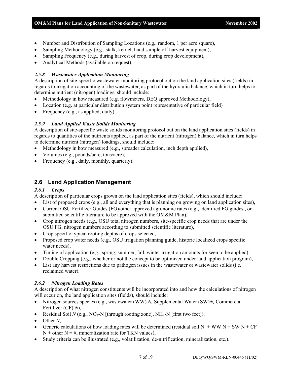- Number and Distribution of Sampling Locations (e.g., random, 1 per acre square),
- Sampling Methodology (e.g., stalk, kernel, hand sample off harvest equipment),
- Sampling Frequency (e.g., during harvest of crop, during crop development),
- Analytical Methods (available on request).

#### *2.5.8 Wastewater Application Monitoring*

A description of site-specific wastewater monitoring protocol out on the land application sites (fields) in regards to irrigation accounting of the wastewater, as part of the hydraulic balance, which in turn helps to determine nutrient (nitrogen) loadings, should include:

- Methodology in how measured (e.g. flowmeters, DEQ approved Methodology),
- Location (e.g. at particular distribution system point representative of particular field)
- Frequency (e.g., as applied, daily).

#### *2.5.9 Land Applied Waste Solids Monitoring*

A description of site-specific waste solids monitoring protocol out on the land application sites (fields) in regards to quantities of the nutrients applied, as part of the nutrient (nitrogen) balance, which in turn helps to determine nutrient (nitrogen) loadings, should include:

- Methodology in how measured (e.g., spreader calculation, inch depth applied),
- Volumes (e.g., pounds/acre, tons/acre),
- Frequency (e.g., daily, monthly, quarterly).

# **2.6 Land Application Management**

#### *2.6.1 Crops*

A description of particular crops grown on the land application sites (fields), which should include:

- List of proposed crops (e.g., all and everything that is planning on growing on land application sites),
- Current OSU Fertilizer Guides (FG)/other approved agronomic rates (e.g., identified FG guides , or submitted scientific literature to be approved with the OM&M Plan),
- Crop nitrogen needs (e.g., OSU total nitrogen numbers, site-specific crop needs that are under the OSU FG, nitrogen numbers according to submitted scientific literature),
- Crop specific typical rooting depths of crops selected,
- Proposed crop water needs (e.g., OSU irrigation planning guide, historic localized crops specific water needs),
- Timing of application (e.g., spring, summer, fall, winter irrigation amounts for seen to be applied),
- Double Cropping (e.g., whether or not the concept to be optimized under land application program),
- List any harvest restrictions due to pathogen issues in the wastewater or wastewater solids (i.e. reclaimed water).

#### *2.6.2 Nitrogen Loading Rates*

A description of what nitrogen constituents will be incorporated into and how the calculations of nitrogen will occur on, the land application sites (fields), should include:

- Nitrogen sources species (e.g., wastewater (WW) *N,* Supplemental Water (SW)*N,* Commercial Fertilizer (CF) *N*),
- Residual Soil  $N$  (e.g., NO<sub>3</sub>-N [through rooting zone], NH<sub>4</sub>-N [first two feet]),
- Other *N*,
- Generic calculations of how loading rates will be determined (residual soil  $N + WWN + SWN + CF$  $N +$  other  $N = #$ , mineralization rate for TKN values),
- Study criteria can be illustrated (e.g., volatilization, de-nitrification, mineralization, etc.).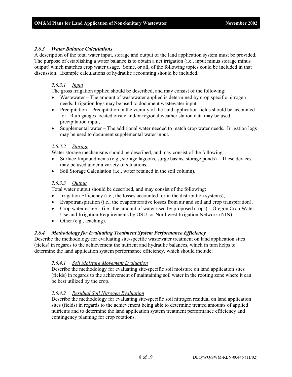#### *2.6.3 Water Balance Calculations*

A description of the total water input, storage and output of the land application system must be provided. The purpose of establishing a water balance is to obtain a net irrigation (i.e., input minus storage minus output) which matches crop water usage. Some, or all, of the following topics could be included in that discussion. Example calculations of hydraulic accounting should be included.

#### *2.6.3.1 Input*

The gross irrigation applied should be described, and may consist of the following:

- Wastewater The amount of wastewater applied is determined by crop specific nitrogen needs. Irrigation logs may be used to document wastewater input.
- Precipitation Precipitation in the vicinity of the land application fields should be accounted for. Rain gauges located onsite and/or regional weather station data may be used precipitation input,
- Supplemental water The additional water needed to match crop water needs. Irrigation logs may be used to document supplemental water input.

#### *2.6.3.2 Storage*

Water storage mechanisms should be described, and may consist of the following:

- Surface Impoundments (e.g., storage lagoons, surge basins, storage ponds) These devices may be used under a variety of situations,
- Soil Storage Calculation (i.e., water retained in the soil column).

#### *2.6.3.3 Output*

Total water output should be described, and may consist of the following:

- Irrigation Efficiency (i.e., the losses accounted for in the distribution systems),
- Evapotranspiration (i.e., the evaporatorative losses from air and soil and crop transpiration),
- Crop water usage (i.e., the amount of water used by proposed crops) Oregon Crop Water Use and Irrigation Requirements by OSU, or Northwest Irrigation Network (NIN),
- Other (e.g., leaching).

#### *2.6.4 Methodology for Evaluating Treatment System Performance Efficiency*

Describe the methodology for evaluating site-specific wastewater treatment on land application sites (fields) in regards to the achievement the nutrient and hydraulic balances, which in turn helps to determine the land application system performance efficiency, which should include:

#### *2.6.4.1 Soil Moisture Movement Evaluation*

Describe the methodology for evaluating site-specific soil moisture on land application sites (fields) in regards to the achievement of maintaining soil water in the rooting zone where it can be best utilized by the crop.

#### *2.6.4.2 Residual Soil Nitrogen Evaluation*

Describe the methodology for evaluating site-specific soil nitrogen residual on land application sites (fields) in regards to the achievement being able to determine treated amounts of applied nutrients and to determine the land application system treatment performance efficiency and contingency planning for crop rotations.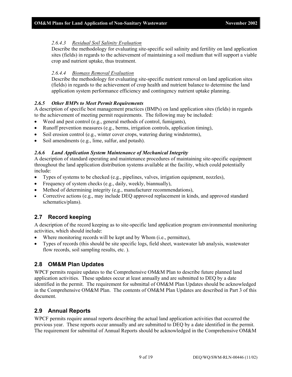#### *2.6.4.3 Residual Soil Salinity Evaluation*

Describe the methodology for evaluating site-specific soil salinity and fertility on land application sites (fields) in regards to the achievement of maintaining a soil medium that will support a viable crop and nutrient uptake, thus treatment.

#### *2.6.4.4 Biomass Removal Evaluation*

Describe the methodology for evaluating site-specific nutrient removal on land application sites (fields) in regards to the achievement of crop health and nutrient balance to determine the land application system performance efficiency and contingency nutrient uptake planning.

#### *2.6.5 Other BMPs to Meet Permit Requirements*

A description of specific best management practices (BMPs) on land application sites (fields) in regards to the achievement of meeting permit requirements. The following may be included:

- Weed and pest control (e.g., general methods of control, fumigants),
- Runoff prevention measures (e.g., berms, irrigation controls, application timing),
- Soil erosion control (e.g., winter cover crops, watering during windstorms),
- Soil amendments (e.g., lime, sulfur, and potash).

#### *2.6.6 Land Application System Maintenance of Mechanical Integrity*

A description of standard operating and maintenance procedures of maintaining site-specific equipment throughout the land application distribution systems available at the facility, which could potentially include:

- Types of systems to be checked (e.g., pipelines, valves, irrigation equipment, nozzles),
- Frequency of system checks (e.g., daily, weekly, biannually),
- Method of determining integrity (e.g., manufacturer recommendations),
- Corrective actions (e.g., may include DEQ approved replacement in kinds, and approved standard schematics/plans).

# **2.7 Record keeping**

A description of the record keeping as to site-specific land application program environmental monitoring activities, which should include:

- Where monitoring records will be kept and by Whom (i.e., permittee),
- Types of records (this should be site specific logs, field sheet, wastewater lab analysis, wastewater flow records, soil sampling results, etc. ).

# **2.8 OM&M Plan Updates**

WPCF permits require updates to the Comprehensive OM&M Plan to describe future planned land application activities. These updates occur at least annually and are submitted to DEQ by a date identified in the permit. The requirement for submittal of OM&M Plan Updates should be acknowledged in the Comprehensive OM&M Plan. The contents of OM&M Plan Updates are described in Part 3 of this document.

# **2.9 Annual Reports**

WPCF permits require annual reports describing the actual land application activities that occurred the previous year. These reports occur annually and are submitted to DEQ by a date identified in the permit. The requirement for submittal of Annual Reports should be acknowledged in the Comprehensive OM&M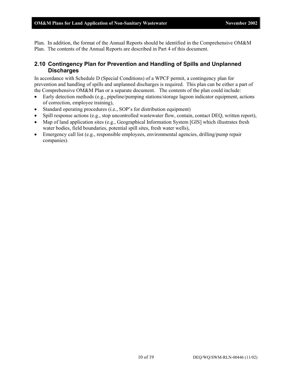Plan. In addition, the format of the Annual Reports should be identified in the Comprehensive OM&M Plan. The contents of the Annual Reports are described in Part 4 of this document.

# **2.10 Contingency Plan for Prevention and Handling of Spills and Unplanned Discharges**

In accordance with Schedule D (Special Conditions) of a WPCF permit, a contingency plan for prevention and handling of spills and unplanned discharges is required. This plan can be either a part of the Comprehensive OM&M Plan or a separate document. The contents of the plan could include:

- Early detection methods (e.g., pipeline/pumping stations/storage lagoon indicator equipment, actions of correction, employee training),
- Standard operating procedures (i.e., SOP's for distribution equipment)
- Spill response actions (e.g., stop uncontrolled wastewater flow, contain, contact DEQ, written report),
- Map of land application sites (e.g., Geographical Information System [GIS] which illustrates fresh water bodies, field boundaries, potential spill sites, fresh water wells),
- Emergency call list (e.g., responsible employees, environmental agencies, drilling/pump repair companies).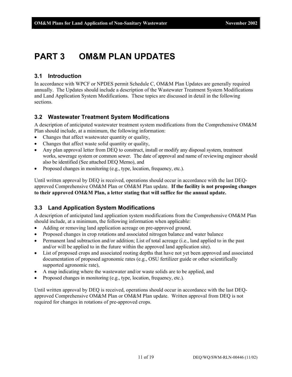# **PART 3 OM&M PLAN UPDATES**

# **3.1 Introduction**

In accordance with WPCF or NPDES permit Schedule C, OM&M Plan Updates are generally required annually. The Updates should include a description of the Wastewater Treatment System Modifications and Land Application System Modifications. These topics are discussed in detail in the following sections.

### **3.2 Wastewater Treatment System Modifications**

A description of anticipated wastewater treatment system modifications from the Comprehensive OM&M Plan should include, at a minimum, the following information:

- Changes that affect wastewater quantity or quality,
- Changes that affect waste solid quantity or quality,
- Any plan approval letter from DEQ to construct, install or modify any disposal system, treatment works, sewerage system or common sewer. The date of approval and name of reviewing engineer should also be identified (See attached DEQ Memo), and
- Proposed changes in monitoring (e.g., type, location, frequency, etc.).

Until written approval by DEQ is received, operations should occur in accordance with the last DEQapproved Comprehensive OM&M Plan or OM&M Plan update. **If the facility is not proposing changes to their approved OM&M Plan, a letter stating that will suffice for the annual update.** 

# **3.3 Land Application System Modifications**

A description of anticipated land application system modifications from the Comprehensive OM&M Plan should include, at a minimum, the following information when applicable:

- Adding or removing land application acreage on pre-approved ground,
- Proposed changes in crop rotations and associated nitrogen balance and water balance
- Permanent land subtraction and/or addition; List of total acreage (i.e., land applied to in the past and/or will be applied to in the future within the approved land application site).
- List of proposed crops and associated rooting depths that have not yet been approved and associated documentation of proposed agronomic rates (e.g., OSU fertilizer guide or other scientifically supported agronomic rate),
- A map indicating where the wastewater and/or waste solids are to be applied, and
- Proposed changes in monitoring (e.g., type, location, frequency, etc.).

Until written approval by DEQ is received, operations should occur in accordance with the last DEQapproved Comprehensive OM&M Plan or OM&M Plan update. Written approval from DEQ is not required for changes in rotations of pre-approved crops.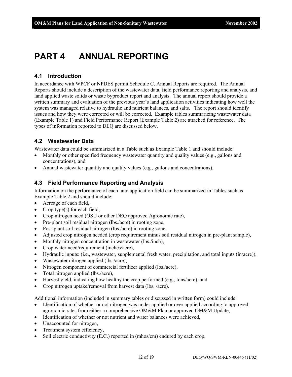# **PART 4 ANNUAL REPORTING**

# **4.1 Introduction**

In accordance with WPCF or NPDES permit Schedule C, Annual Reports are required. The Annual Reports should include a description of the wastewater data, field performance reporting and analysis, and land applied waste solids or waste byproduct report and analysis. The annual report should provide a written summary and evaluation of the previous year's land application activities indicating how well the system was managed relative to hydraulic and nutrient balances, and salts. The report should identify issues and how they were corrected or will be corrected. Example tables summarizing wastewater data (Example Table 1) and Field Performance Report (Example Table 2) are attached for reference. The types of information reported to DEQ are discussed below.

# **4.2 Wastewater Data**

Wastewater data could be summarized in a Table such as Example Table 1 and should include:

- Monthly or other specified frequency wastewater quantity and quality values (e.g., gallons and concentrations), and
- Annual wastewater quantity and quality values (e.g., gallons and concentrations).

### **4.3 Field Performance Reporting and Analysis**

Information on the performance of each land application field can be summarized in Tables such as Example Table 2 and should include:

- Acreage of each field,
- Crop type(s) for each field,
- Crop nitrogen need (OSU or other DEO approved Agronomic rate),
- Pre-plant soil residual nitrogen (lbs./acre) in rooting zone,
- Post-plant soil residual nitrogen (lbs./acre) in rooting zone,
- Adjusted crop nitrogen needed (crop requirement minus soil residual nitrogen in pre-plant sample),
- Monthly nitrogen concentration in wastewater (lbs./inch),
- Crop water need/requirement (inches/acre),
- Hydraulic inputs: (i.e., wastewater, supplemental fresh water, precipitation, and total inputs (in/acre)),
- Wastewater nitrogen applied (lbs./acre),
- Nitrogen component of commercial fertilizer applied (lbs./acre),
- Total nitrogen applied (lbs./acre),
- Harvest yield, indicating how healthy the crop performed (e.g., tons/acre), and
- Crop nitrogen uptake/removal from harvest data (lbs. /acre).

Additional information (included in summary tables or discussed in written form) could include:

- Identification of whether or not nitrogen was under applied or over applied according to approved agronomic rates from either a comprehensive OM&M Plan or approved OM&M Update,
- Identification of whether or not nutrient and water balances were achieved,
- Unaccounted for nitrogen,
- Treatment system efficiency,
- Soil electric conductivity (E.C.) reported in (mhos/cm) endured by each crop,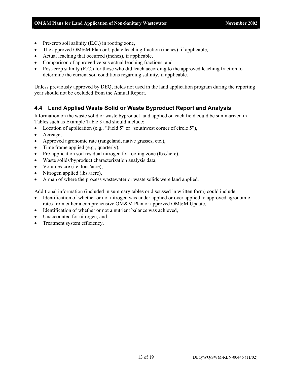- Pre-crop soil salinity (E.C.) in rooting zone,
- The approved OM&M Plan or Update leaching fraction (inches), if applicable,
- Actual leaching that occurred (inches), if applicable,
- Comparison of approved versus actual leaching fractions, and
- Post-crop salinity (E.C.) for those who did leach according to the approved leaching fraction to determine the current soil conditions regarding salinity, if applicable.

Unless previously approved by DEQ, fields not used in the land application program during the reporting year should not be excluded from the Annual Report.

# **4.4 Land Applied Waste Solid or Waste Byproduct Report and Analysis**

Information on the waste solid or waste byproduct land applied on each field could be summarized in Tables such as Example Table 3 and should include:

- Location of application (e.g., "Field 5" or "southwest corner of circle 5"),
- Acreage,
- Approved agronomic rate (rangeland, native grasses, etc.),
- Time frame applied (e.g., quarterly),
- Pre-application soil residual nitrogen for rooting zone (lbs./acre),
- Waste solids/byproduct characterization analysis data,
- Volume/acre (i.e. tons/acre),
- Nitrogen applied (lbs./acre),
- A map of where the process wastewater or waste solids were land applied.

Additional information (included in summary tables or discussed in written form) could include:

- Identification of whether or not nitrogen was under applied or over applied to approved agronomic rates from either a comprehensive OM&M Plan or approved OM&M Update,
- Identification of whether or not a nutrient balance was achieved,
- Unaccounted for nitrogen, and
- Treatment system efficiency.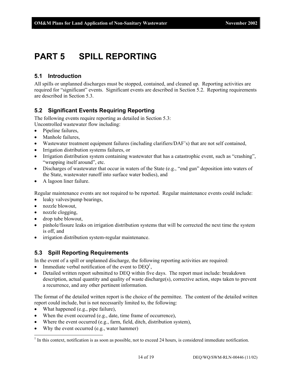# **PART 5 SPILL REPORTING**

# **5.1 Introduction**

All spills or unplanned discharges must be stopped, contained, and cleaned up. Reporting activities are required for "significant" events. Significant events are described in Section 5.2. Reporting requirements are described in Section 5.3.

### **5.2 Significant Events Requiring Reporting**

The following events require reporting as detailed in Section 5.3: Uncontrolled wastewater flow including:

- Pipeline failures,
- Manhole failures,
- Wastewater treatment equipment failures (including clarifiers/DAF's) that are not self contained,
- Irrigation distribution systems failures, or
- Irrigation distribution system containing wastewater that has a catastrophic event, such as "crashing". "wrapping itself around", etc.
- Discharges of wastewater that occur in waters of the State (e.g., "end gun" deposition into waters of the State, wastewater runoff into surface water bodies), and
- A lagoon liner failure.

Regular maintenance events are not required to be reported. Regular maintenance events could include:

- leaky valves/pump bearings,
- nozzle blowout,
- nozzle clogging,
- drop tube blowout,
- pinhole/fissure leaks on irrigation distribution systems that will be corrected the next time the system is off, and
- irrigation distribution system-regular maintenance.

# **5.3 Spill Reporting Requirements**

In the event of a spill or unplanned discharge, the following reporting activities are required:

- Immediate verbal notification of the event to  $DEQ<sup>1</sup>$ ,
- Detailed written report submitted to DEQ within five days. The report must include: breakdown description, actual quantity and quality of waste discharge(s), corrective action, steps taken to prevent a recurrence, and any other pertinent information.

The format of the detailed written report is the choice of the permittee. The content of the detailed written report could include, but is not necessarily limited to, the following:

• What happened (e.g., pipe failure),

 $\overline{a}$ 

- When the event occurred (e.g., date, time frame of occurrence),
- Where the event occurred (e.g., farm, field, ditch, distribution system),
- Why the event occurred (e.g., water hammer)

 $<sup>1</sup>$  In this context, notification is as soon as possible, not to exceed 24 hours, is considered immediate notification.</sup>